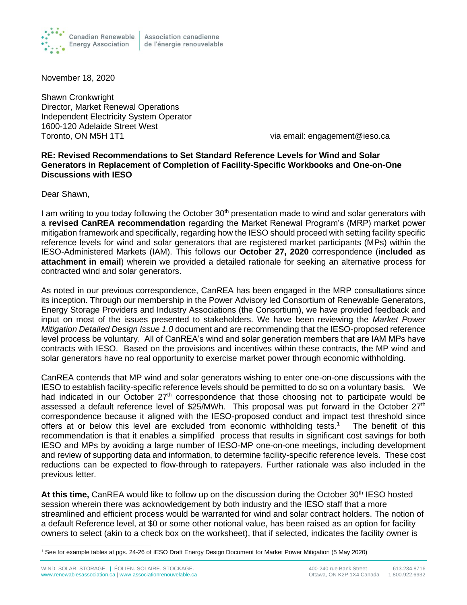

Association canadienne de l'énergie renouvelable

November 18, 2020

Shawn Cronkwright Director, Market Renewal Operations Independent Electricity System Operator 1600-120 Adelaide Street West Toronto, ON M5H 1T1 via email: engagement@ieso.ca

## **RE: Revised Recommendations to Set Standard Reference Levels for Wind and Solar Generators in Replacement of Completion of Facility-Specific Workbooks and One-on-One Discussions with IESO**

Dear Shawn,

I am writing to you today following the October  $30<sup>th</sup>$  presentation made to wind and solar generators with a **revised CanREA recommendation** regarding the Market Renewal Program's (MRP) market power mitigation framework and specifically, regarding how the IESO should proceed with setting facility specific reference levels for wind and solar generators that are registered market participants (MPs) within the IESO-Administered Markets (IAM). This follows our **October 27, 2020** correspondence (**included as attachment in email**) wherein we provided a detailed rationale for seeking an alternative process for contracted wind and solar generators.

As noted in our previous correspondence, CanREA has been engaged in the MRP consultations since its inception. Through our membership in the Power Advisory led Consortium of Renewable Generators, Energy Storage Providers and Industry Associations (the Consortium), we have provided feedback and input on most of the issues presented to stakeholders. We have been reviewing the *Market Power Mitigation Detailed Design Issue 1.0* document and are recommending that the IESO-proposed reference level process be voluntary. All of CanREA's wind and solar generation members that are IAM MPs have contracts with IESO. Based on the provisions and incentives within these contracts, the MP wind and solar generators have no real opportunity to exercise market power through economic withholding.

CanREA contends that MP wind and solar generators wishing to enter one-on-one discussions with the IESO to establish facility-specific reference levels should be permitted to do so on a voluntary basis. We had indicated in our October 27<sup>th</sup> correspondence that those choosing not to participate would be assessed a default reference level of \$25/MWh. This proposal was put forward in the October 27<sup>th</sup> correspondence because it aligned with the IESO-proposed conduct and impact test threshold since offers at or below this level are excluded from economic withholding tests.<sup>1</sup> The benefit of this recommendation is that it enables a simplified process that results in significant cost savings for both IESO and MPs by avoiding a large number of IESO-MP one-on-one meetings, including development and review of supporting data and information, to determine facility-specific reference levels. These cost reductions can be expected to flow-through to ratepayers. Further rationale was also included in the previous letter.

At this time, CanREA would like to follow up on the discussion during the October 30<sup>th</sup> IESO hosted session wherein there was acknowledgement by both industry and the IESO staff that a more streamlined and efficient process would be warranted for wind and solar contract holders. The notion of a default Reference level, at \$0 or some other notional value, has been raised as an option for facility owners to select (akin to a check box on the worksheet), that if selected, indicates the facility owner is

<sup>1</sup> See for example tables at pgs. 24-26 of IESO Draft Energy Design Document for Market Power Mitigation (5 May 2020)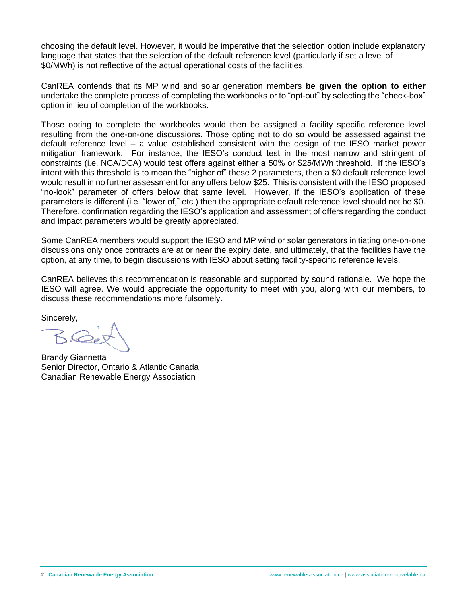choosing the default level. However, it would be imperative that the selection option include explanatory language that states that the selection of the default reference level (particularly if set a level of \$0/MWh) is not reflective of the actual operational costs of the facilities.

CanREA contends that its MP wind and solar generation members **be given the option to either** undertake the complete process of completing the workbooks or to "opt-out" by selecting the "check-box" option in lieu of completion of the workbooks.

Those opting to complete the workbooks would then be assigned a facility specific reference level resulting from the one-on-one discussions. Those opting not to do so would be assessed against the default reference level – a value established consistent with the design of the IESO market power mitigation framework. For instance, the IESO's conduct test in the most narrow and stringent of constraints (i.e. NCA/DCA) would test offers against either a 50% or \$25/MWh threshold. If the IESO's intent with this threshold is to mean the "higher of" these 2 parameters, then a \$0 default reference level would result in no further assessment for any offers below \$25. This is consistent with the IESO proposed "no-look" parameter of offers below that same level. However, if the IESO's application of these parameters is different (i.e. "lower of," etc.) then the appropriate default reference level should not be \$0. Therefore, confirmation regarding the IESO's application and assessment of offers regarding the conduct and impact parameters would be greatly appreciated.

Some CanREA members would support the IESO and MP wind or solar generators initiating one-on-one discussions only once contracts are at or near the expiry date, and ultimately, that the facilities have the option, at any time, to begin discussions with IESO about setting facility-specific reference levels.

CanREA believes this recommendation is reasonable and supported by sound rationale. We hope the IESO will agree. We would appreciate the opportunity to meet with you, along with our members, to discuss these recommendations more fulsomely.

Sincerely,

Brandy Giannetta Senior Director, Ontario & Atlantic Canada Canadian Renewable Energy Association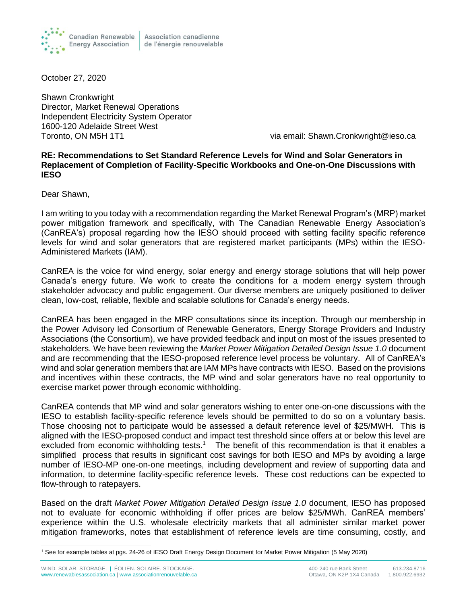

October 27, 2020

Shawn Cronkwright Director, Market Renewal Operations Independent Electricity System Operator 1600-120 Adelaide Street West Toronto, ON M5H 1T1 via email: Shawn.Cronkwright@ieso.ca

## **RE: Recommendations to Set Standard Reference Levels for Wind and Solar Generators in Replacement of Completion of Facility-Specific Workbooks and One-on-One Discussions with IESO**

Dear Shawn,

I am writing to you today with a recommendation regarding the Market Renewal Program's (MRP) market power mitigation framework and specifically, with The Canadian Renewable Energy Association's (CanREA's) proposal regarding how the IESO should proceed with setting facility specific reference levels for wind and solar generators that are registered market participants (MPs) within the IESO-Administered Markets (IAM).

CanREA is the voice for wind energy, solar energy and energy storage solutions that will help power Canada's energy future. We work to create the conditions for a modern energy system through stakeholder advocacy and public engagement. Our diverse members are uniquely positioned to deliver clean, low-cost, reliable, flexible and scalable solutions for Canada's energy needs.

CanREA has been engaged in the MRP consultations since its inception. Through our membership in the Power Advisory led Consortium of Renewable Generators, Energy Storage Providers and Industry Associations (the Consortium), we have provided feedback and input on most of the issues presented to stakeholders. We have been reviewing the *Market Power Mitigation Detailed Design Issue 1.0* document and are recommending that the IESO-proposed reference level process be voluntary. All of CanREA's wind and solar generation members that are IAM MPs have contracts with IESO. Based on the provisions and incentives within these contracts, the MP wind and solar generators have no real opportunity to exercise market power through economic withholding.

CanREA contends that MP wind and solar generators wishing to enter one-on-one discussions with the IESO to establish facility-specific reference levels should be permitted to do so on a voluntary basis. Those choosing not to participate would be assessed a default reference level of \$25/MWH. This is aligned with the IESO-proposed conduct and impact test threshold since offers at or below this level are excluded from economic withholding tests.<sup>1</sup> The benefit of this recommendation is that it enables a simplified process that results in significant cost savings for both IESO and MPs by avoiding a large number of IESO-MP one-on-one meetings, including development and review of supporting data and information, to determine facility-specific reference levels. These cost reductions can be expected to flow-through to ratepayers.

Based on the draft *Market Power Mitigation Detailed Design Issue 1.0* document, IESO has proposed not to evaluate for economic withholding if offer prices are below \$25/MWh. CanREA members' experience within the U.S. wholesale electricity markets that all administer similar market power mitigation frameworks, notes that establishment of reference levels are time consuming, costly, and

<sup>1</sup> See for example tables at pgs. 24-26 of IESO Draft Energy Design Document for Market Power Mitigation (5 May 2020)